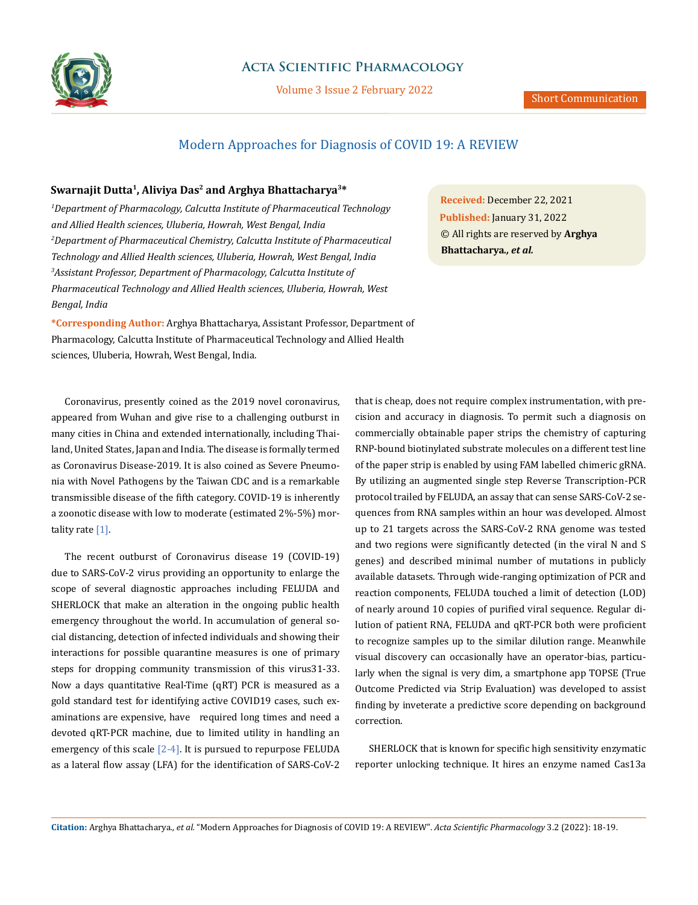

## **Acta Scientific Pharmacology**

Volume 3 Issue 2 February 2022

# Modern Approaches for Diagnosis of COVID 19: A REVIEW

### **Swarnajit Dutta1, Aliviya Das2 and Arghya Bhattacharya3\***

*1 Department of Pharmacology, Calcutta Institute of Pharmaceutical Technology and Allied Health sciences, Uluberia, Howrah, West Bengal, India 2 Department of Pharmaceutical Chemistry, Calcutta Institute of Pharmaceutical Technology and Allied Health sciences, Uluberia, Howrah, West Bengal, India 3 Assistant Professor, Department of Pharmacology, Calcutta Institute of Pharmaceutical Technology and Allied Health sciences, Uluberia, Howrah, West Bengal, India*

**\*Corresponding Author:** Arghya Bhattacharya, Assistant Professor, Department of Pharmacology, Calcutta Institute of Pharmaceutical Technology and Allied Health sciences, Uluberia, Howrah, West Bengal, India.

Coronavirus, presently coined as the 2019 novel coronavirus, appeared from Wuhan and give rise to a challenging outburst in many cities in China and extended internationally, including Thailand, United States, Japan and India. The disease is formally termed as Coronavirus Disease-2019. It is also coined as Severe Pneumonia with Novel Pathogens by the Taiwan CDC and is a remarkable transmissible disease of the fifth category. COVID-19 is inherently a zoonotic disease with low to moderate (estimated 2%-5%) mortality rate [1].

The recent outburst of Coronavirus disease 19 (COVID-19) due to SARS-CoV-2 virus providing an opportunity to enlarge the scope of several diagnostic approaches including FELUDA and SHERLOCK that make an alteration in the ongoing public health emergency throughout the world. In accumulation of general social distancing, detection of infected individuals and showing their interactions for possible quarantine measures is one of primary steps for dropping community transmission of this virus31-33. Now a days quantitative Real-Time (qRT) PCR is measured as a gold standard test for identifying active COVID19 cases, such examinations are expensive, have required long times and need a devoted qRT-PCR machine, due to limited utility in handling an emergency of this scale [2-4]. It is pursued to repurpose FELUDA as a lateral flow assay (LFA) for the identification of SARS-CoV-2

**Received:** December 22, 2021 **Published:** January 31, 2022 © All rights are reserved by **Arghya Bhattacharya***., et al.*

that is cheap, does not require complex instrumentation, with precision and accuracy in diagnosis. To permit such a diagnosis on commercially obtainable paper strips the chemistry of capturing RNP-bound biotinylated substrate molecules on a different test line of the paper strip is enabled by using FAM labelled chimeric gRNA. By utilizing an augmented single step Reverse Transcription-PCR protocol trailed by FELUDA, an assay that can sense SARS-CoV-2 sequences from RNA samples within an hour was developed. Almost up to 21 targets across the SARS-CoV-2 RNA genome was tested and two regions were significantly detected (in the viral N and S genes) and described minimal number of mutations in publicly available datasets. Through wide-ranging optimization of PCR and reaction components, FELUDA touched a limit of detection (LOD) of nearly around 10 copies of purified viral sequence. Regular dilution of patient RNA, FELUDA and qRT-PCR both were proficient to recognize samples up to the similar dilution range. Meanwhile visual discovery can occasionally have an operator-bias, particularly when the signal is very dim, a smartphone app TOPSE (True Outcome Predicted via Strip Evaluation) was developed to assist finding by inveterate a predictive score depending on background correction.

SHERLOCK that is known for specific high sensitivity enzymatic reporter unlocking technique. It hires an enzyme named Cas13a

**Citation:** Arghya Bhattacharya*., et al.* "Modern Approaches for Diagnosis of COVID 19: A REVIEW". *Acta Scientific Pharmacology* 3.2 (2022): 18-19.